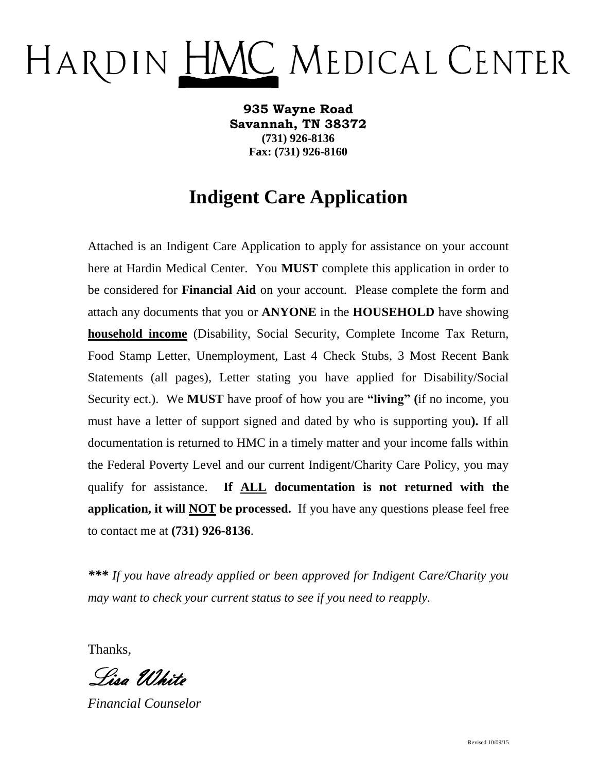## HARDIN HMC MEDICAL CENTER

**935 Wayne Road Savannah, TN 38372 (731) 926-8136 Fax: (731) 926-8160**

## **Indigent Care Application**

Attached is an Indigent Care Application to apply for assistance on your account here at Hardin Medical Center. You **MUST** complete this application in order to be considered for **Financial Aid** on your account. Please complete the form and attach any documents that you or **ANYONE** in the **HOUSEHOLD** have showing **household income** (Disability, Social Security, Complete Income Tax Return, Food Stamp Letter, Unemployment, Last 4 Check Stubs, 3 Most Recent Bank Statements (all pages), Letter stating you have applied for Disability/Social Security ect.). We **MUST** have proof of how you are **"living" (**if no income, you must have a letter of support signed and dated by who is supporting you**).** If all documentation is returned to HMC in a timely matter and your income falls within the Federal Poverty Level and our current Indigent/Charity Care Policy, you may qualify for assistance. **If ALL documentation is not returned with the application, it will NOT be processed.** If you have any questions please feel free to contact me at **(731) 926-8136**.

*\*\*\* If you have already applied or been approved for Indigent Care/Charity you may want to check your current status to see if you need to reapply.*

Thanks,

Lisa White

*Financial Counselor*